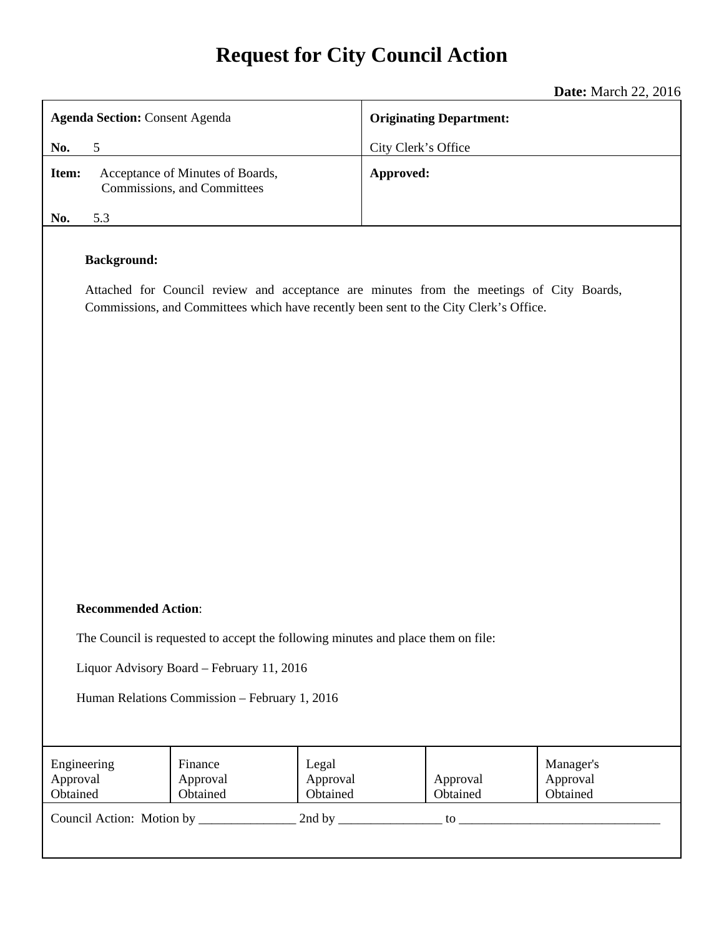# **Request for City Council Action**

**Date:** March 22, 2016

|                                                                                                                                                                                                         | <b>Date:</b> March 22, 2016    |  |
|---------------------------------------------------------------------------------------------------------------------------------------------------------------------------------------------------------|--------------------------------|--|
| <b>Agenda Section: Consent Agenda</b>                                                                                                                                                                   | <b>Originating Department:</b> |  |
| 5<br>No.                                                                                                                                                                                                | City Clerk's Office            |  |
| Acceptance of Minutes of Boards,<br>Item:<br>Commissions, and Committees                                                                                                                                | Approved:                      |  |
| 5.3<br>No.                                                                                                                                                                                              |                                |  |
| <b>Background:</b><br>Attached for Council review and acceptance are minutes from the meetings of City Boards,<br>Commissions, and Committees which have recently been sent to the City Clerk's Office. |                                |  |

#### **Recommended Action**:

The Council is requested to accept the following minutes and place them on file:

Liquor Advisory Board – February 11, 2016

Human Relations Commission – February 1, 2016

| Engineering<br>Approval<br>Obtained | Finance<br>Approval<br>Obtained | Legal<br>Approval<br>Obtained | Approval<br>Obtained | Manager's<br>Approval<br>Obtained |
|-------------------------------------|---------------------------------|-------------------------------|----------------------|-----------------------------------|
| Council Action: Motion by           |                                 | 2nd by                        | to                   |                                   |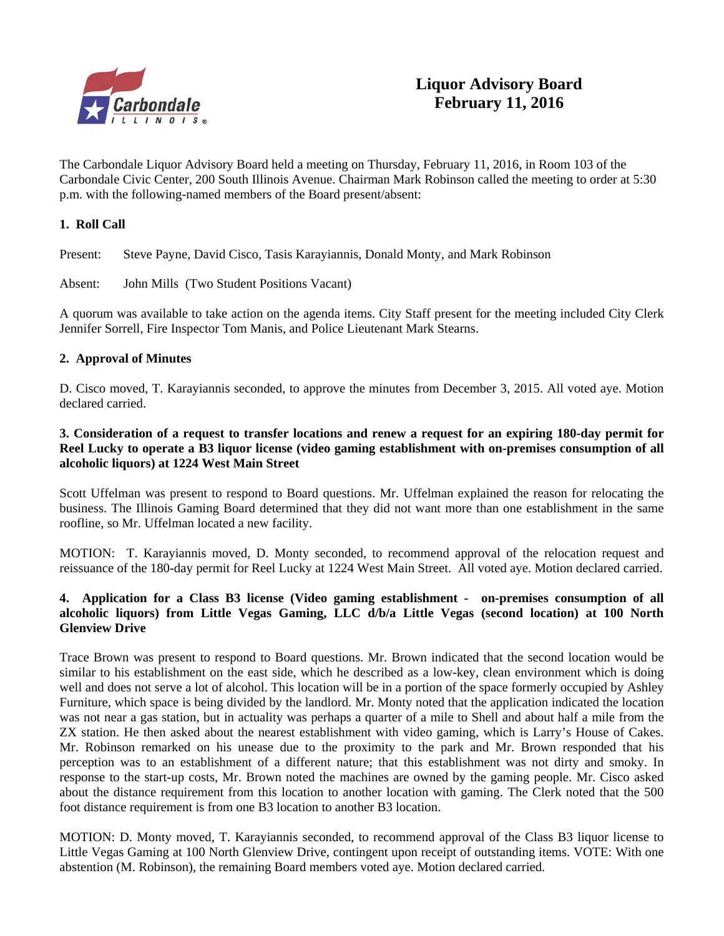

The Carbondale Liquor Advisory Board held a meeting on Thursday, February 11, 2016, in Room 103 of the Carbondale Civic Center, 200 South Illinois Avenue. Chairman Mark Robinson called the meeting to order at 5:30 p.m. with the following-named members of the Board present/absent:

#### **1. Roll Call**

Present: Steve Payne, David Cisco, Tasis Karayiannis, Donald Monty, and Mark Robinson

Absent: John Mills (Two Student Positions Vacant)

A quorum was available to take action on the agenda items. City Staff present for the meeting included City Clerk Jennifer Sorrell, Fire Inspector Tom Manis, and Police Lieutenant Mark Stearns.

#### **2. Approval of Minutes**

D. Cisco moved, T. Karayiannis seconded, to approve the minutes from December 3, 2015. All voted aye. Motion declared carried.

#### **3. Consideration of a request to transfer locations and renew a request for an expiring 180-day permit for Reel Lucky to operate a B3 liquor license (video gaming establishment with on-premises consumption of all alcoholic liquors) at 1224 West Main Street**

Scott Uffelman was present to respond to Board questions. Mr. Uffelman explained the reason for relocating the business. The Illinois Gaming Board determined that they did not want more than one establishment in the same roofline, so Mr. Uffelman located a new facility.

MOTION: T. Karayiannis moved, D. Monty seconded, to recommend approval of the relocation request and reissuance of the 180-day permit for Reel Lucky at 1224 West Main Street. All voted aye. Motion declared carried.

#### **4. Application for a Class B3 license (Video gaming establishment - on-premises consumption of all alcoholic liquors) from Little Vegas Gaming, LLC d/b/a Little Vegas (second location) at 100 North Glenview Drive**

Trace Brown was present to respond to Board questions. Mr. Brown indicated that the second location would be similar to his establishment on the east side, which he described as a low-key, clean environment which is doing well and does not serve a lot of alcohol. This location will be in a portion of the space formerly occupied by Ashley Furniture, which space is being divided by the landlord. Mr. Monty noted that the application indicated the location was not near a gas station, but in actuality was perhaps a quarter of a mile to Shell and about half a mile from the ZX station. He then asked about the nearest establishment with video gaming, which is Larry's House of Cakes. Mr. Robinson remarked on his unease due to the proximity to the park and Mr. Brown responded that his perception was to an establishment of a different nature; that this establishment was not dirty and smoky. In response to the start-up costs, Mr. Brown noted the machines are owned by the gaming people. Mr. Cisco asked about the distance requirement from this location to another location with gaming. The Clerk noted that the 500 foot distance requirement is from one B3 location to another B3 location.

MOTION: D. Monty moved, T. Karayiannis seconded, to recommend approval of the Class B3 liquor license to Little Vegas Gaming at 100 North Glenview Drive, contingent upon receipt of outstanding items. VOTE: With one abstention (M. Robinson), the remaining Board members voted aye. Motion declared carried.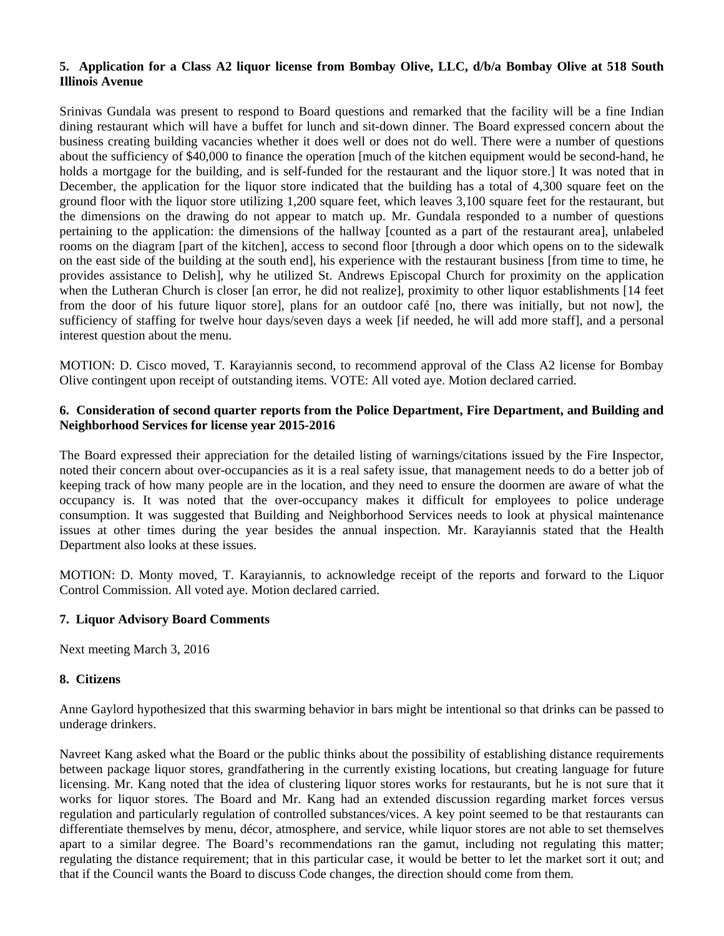#### **5. Application for a Class A2 liquor license from Bombay Olive, LLC, d/b/a Bombay Olive at 518 South Illinois Avenue**

Srinivas Gundala was present to respond to Board questions and remarked that the facility will be a fine Indian dining restaurant which will have a buffet for lunch and sit-down dinner. The Board expressed concern about the business creating building vacancies whether it does well or does not do well. There were a number of questions about the sufficiency of \$40,000 to finance the operation [much of the kitchen equipment would be second-hand, he holds a mortgage for the building, and is self-funded for the restaurant and the liquor store.] It was noted that in December, the application for the liquor store indicated that the building has a total of 4,300 square feet on the ground floor with the liquor store utilizing 1,200 square feet, which leaves 3,100 square feet for the restaurant, but the dimensions on the drawing do not appear to match up. Mr. Gundala responded to a number of questions pertaining to the application: the dimensions of the hallway [counted as a part of the restaurant area], unlabeled rooms on the diagram [part of the kitchen], access to second floor [through a door which opens on to the sidewalk on the east side of the building at the south end], his experience with the restaurant business [from time to time, he provides assistance to Delish], why he utilized St. Andrews Episcopal Church for proximity on the application when the Lutheran Church is closer [an error, he did not realize], proximity to other liquor establishments [14 feet from the door of his future liquor store], plans for an outdoor café [no, there was initially, but not now], the sufficiency of staffing for twelve hour days/seven days a week [if needed, he will add more staff], and a personal interest question about the menu.

MOTION: D. Cisco moved, T. Karayiannis second, to recommend approval of the Class A2 license for Bombay Olive contingent upon receipt of outstanding items. VOTE: All voted aye. Motion declared carried.

#### **6. Consideration of second quarter reports from the Police Department, Fire Department, and Building and Neighborhood Services for license year 2015-2016**

The Board expressed their appreciation for the detailed listing of warnings/citations issued by the Fire Inspector, noted their concern about over-occupancies as it is a real safety issue, that management needs to do a better job of keeping track of how many people are in the location, and they need to ensure the doormen are aware of what the occupancy is. It was noted that the over-occupancy makes it difficult for employees to police underage consumption. It was suggested that Building and Neighborhood Services needs to look at physical maintenance issues at other times during the year besides the annual inspection. Mr. Karayiannis stated that the Health Department also looks at these issues.

MOTION: D. Monty moved, T. Karayiannis, to acknowledge receipt of the reports and forward to the Liquor Control Commission. All voted aye. Motion declared carried.

#### **7. Liquor Advisory Board Comments**

Next meeting March 3, 2016

#### **8. Citizens**

Anne Gaylord hypothesized that this swarming behavior in bars might be intentional so that drinks can be passed to underage drinkers.

Navreet Kang asked what the Board or the public thinks about the possibility of establishing distance requirements between package liquor stores, grandfathering in the currently existing locations, but creating language for future licensing. Mr. Kang noted that the idea of clustering liquor stores works for restaurants, but he is not sure that it works for liquor stores. The Board and Mr. Kang had an extended discussion regarding market forces versus regulation and particularly regulation of controlled substances/vices. A key point seemed to be that restaurants can differentiate themselves by menu, décor, atmosphere, and service, while liquor stores are not able to set themselves apart to a similar degree. The Board's recommendations ran the gamut, including not regulating this matter; regulating the distance requirement; that in this particular case, it would be better to let the market sort it out; and that if the Council wants the Board to discuss Code changes, the direction should come from them.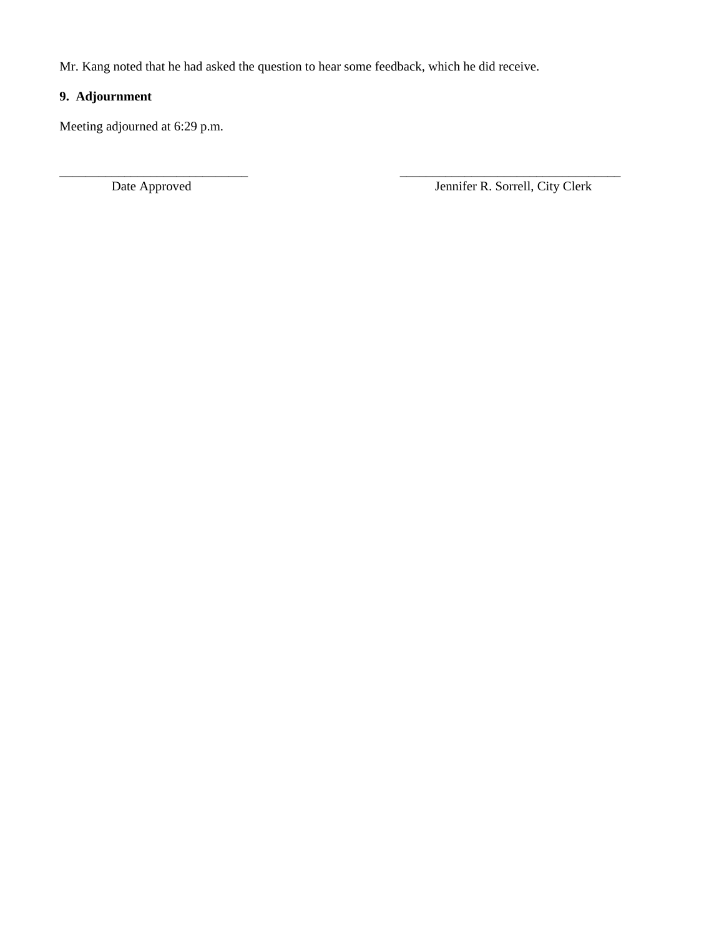Mr. Kang noted that he had asked the question to hear some feedback, which he did receive.

\_\_\_\_\_\_\_\_\_\_\_\_\_\_\_\_\_\_\_\_\_\_\_\_\_\_\_\_\_ \_\_\_\_\_\_\_\_\_\_\_\_\_\_\_\_\_\_\_\_\_\_\_\_\_\_\_\_\_\_\_\_\_\_

# **9. Adjournment**

Meeting adjourned at 6:29 p.m.

Date Approved Jennifer R. Sorrell, City Clerk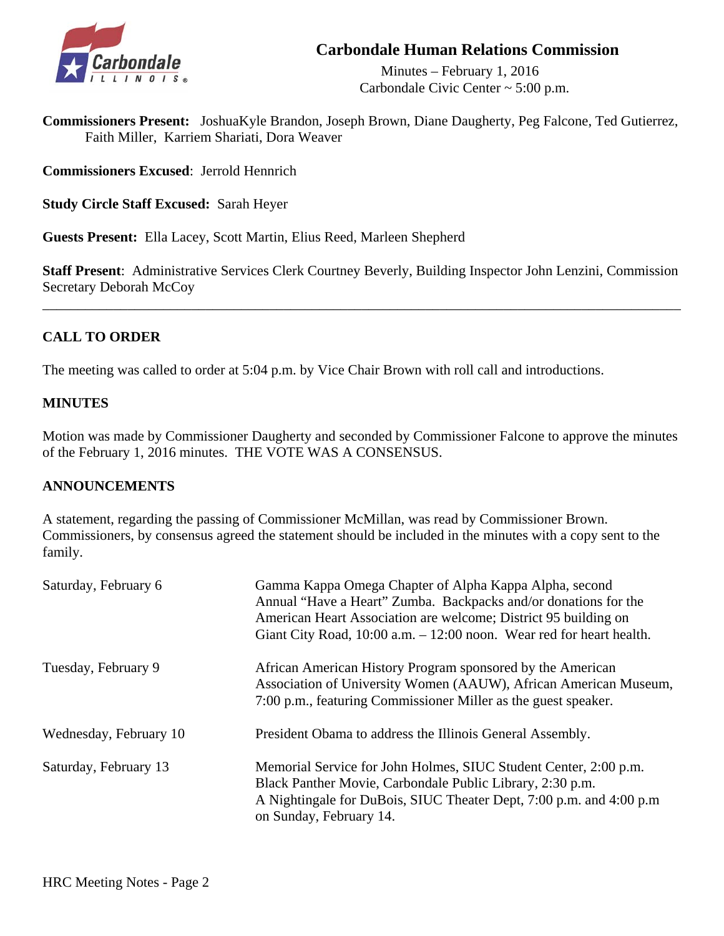# **Carbondale Human Relations Commission**



 Minutes – February 1, 2016 Carbondale Civic Center ~ 5:00 p.m.

**Commissioners Present:** JoshuaKyle Brandon, Joseph Brown, Diane Daugherty, Peg Falcone, Ted Gutierrez, Faith Miller, Karriem Shariati, Dora Weaver

**Commissioners Excused**: Jerrold Hennrich

**Study Circle Staff Excused:** Sarah Heyer

**Guests Present:** Ella Lacey, Scott Martin, Elius Reed, Marleen Shepherd

**Staff Present**: Administrative Services Clerk Courtney Beverly, Building Inspector John Lenzini, Commission Secretary Deborah McCoy

\_\_\_\_\_\_\_\_\_\_\_\_\_\_\_\_\_\_\_\_\_\_\_\_\_\_\_\_\_\_\_\_\_\_\_\_\_\_\_\_\_\_\_\_\_\_\_\_\_\_\_\_\_\_\_\_\_\_\_\_\_\_\_\_\_\_\_\_\_\_\_\_\_\_\_\_\_\_\_\_\_\_\_\_\_\_\_\_\_\_

# **CALL TO ORDER**

The meeting was called to order at 5:04 p.m. by Vice Chair Brown with roll call and introductions.

# **MINUTES**

Motion was made by Commissioner Daugherty and seconded by Commissioner Falcone to approve the minutes of the February 1, 2016 minutes. THE VOTE WAS A CONSENSUS.

#### **ANNOUNCEMENTS**

A statement, regarding the passing of Commissioner McMillan, was read by Commissioner Brown. Commissioners, by consensus agreed the statement should be included in the minutes with a copy sent to the family.

| Saturday, February 6   | Gamma Kappa Omega Chapter of Alpha Kappa Alpha, second<br>Annual "Have a Heart" Zumba. Backpacks and/or donations for the<br>American Heart Association are welcome; District 95 building on<br>Giant City Road, 10:00 a.m. - 12:00 noon. Wear red for heart health. |
|------------------------|----------------------------------------------------------------------------------------------------------------------------------------------------------------------------------------------------------------------------------------------------------------------|
| Tuesday, February 9    | African American History Program sponsored by the American<br>Association of University Women (AAUW), African American Museum,<br>7:00 p.m., featuring Commissioner Miller as the guest speaker.                                                                     |
| Wednesday, February 10 | President Obama to address the Illinois General Assembly.                                                                                                                                                                                                            |
| Saturday, February 13  | Memorial Service for John Holmes, SIUC Student Center, 2:00 p.m.<br>Black Panther Movie, Carbondale Public Library, 2:30 p.m.<br>A Nightingale for DuBois, SIUC Theater Dept, 7:00 p.m. and 4:00 p.m.<br>on Sunday, February 14.                                     |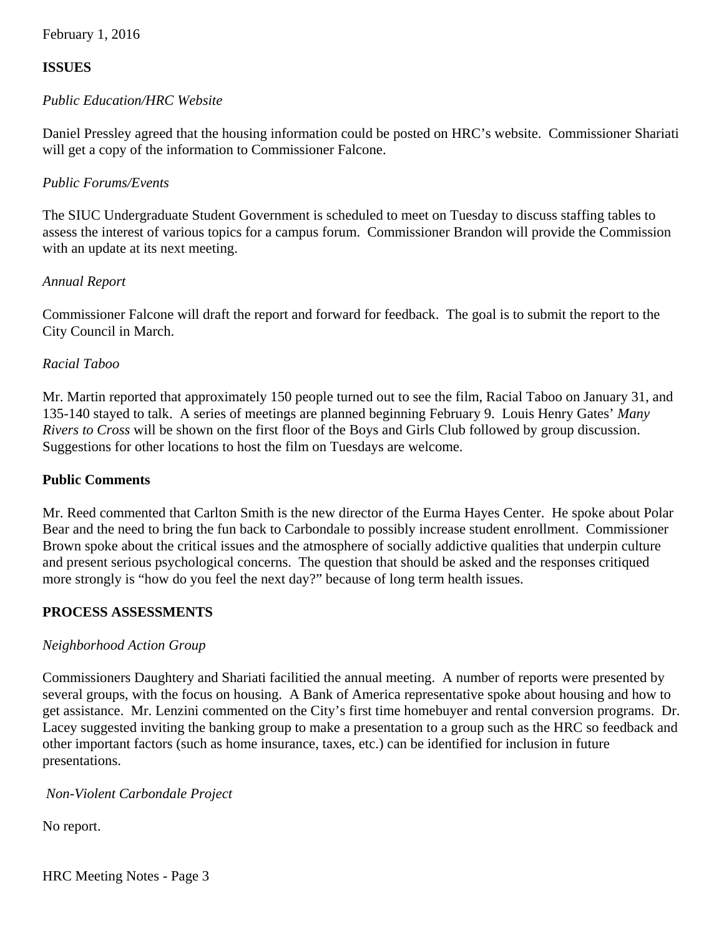February 1, 2016

## **ISSUES**

#### *Public Education/HRC Website*

Daniel Pressley agreed that the housing information could be posted on HRC's website. Commissioner Shariati will get a copy of the information to Commissioner Falcone.

#### *Public Forums/Events*

The SIUC Undergraduate Student Government is scheduled to meet on Tuesday to discuss staffing tables to assess the interest of various topics for a campus forum. Commissioner Brandon will provide the Commission with an update at its next meeting.

#### *Annual Report*

 Commissioner Falcone will draft the report and forward for feedback. The goal is to submit the report to the City Council in March.

## *Racial Taboo*

Mr. Martin reported that approximately 150 people turned out to see the film, Racial Taboo on January 31, and 135-140 stayed to talk. A series of meetings are planned beginning February 9. Louis Henry Gates' *Many Rivers to Cross* will be shown on the first floor of the Boys and Girls Club followed by group discussion. Suggestions for other locations to host the film on Tuesdays are welcome.

#### **Public Comments**

 Mr. Reed commented that Carlton Smith is the new director of the Eurma Hayes Center. He spoke about Polar Bear and the need to bring the fun back to Carbondale to possibly increase student enrollment. Commissioner Brown spoke about the critical issues and the atmosphere of socially addictive qualities that underpin culture and present serious psychological concerns. The question that should be asked and the responses critiqued more strongly is "how do you feel the next day?" because of long term health issues.

#### **PROCESS ASSESSMENTS**

#### *Neighborhood Action Group*

 Commissioners Daughtery and Shariati facilitied the annual meeting. A number of reports were presented by several groups, with the focus on housing. A Bank of America representative spoke about housing and how to get assistance. Mr. Lenzini commented on the City's first time homebuyer and rental conversion programs. Dr. Lacey suggested inviting the banking group to make a presentation to a group such as the HRC so feedback and other important factors (such as home insurance, taxes, etc.) can be identified for inclusion in future presentations.

#### *Non-Violent Carbondale Project*

No report.